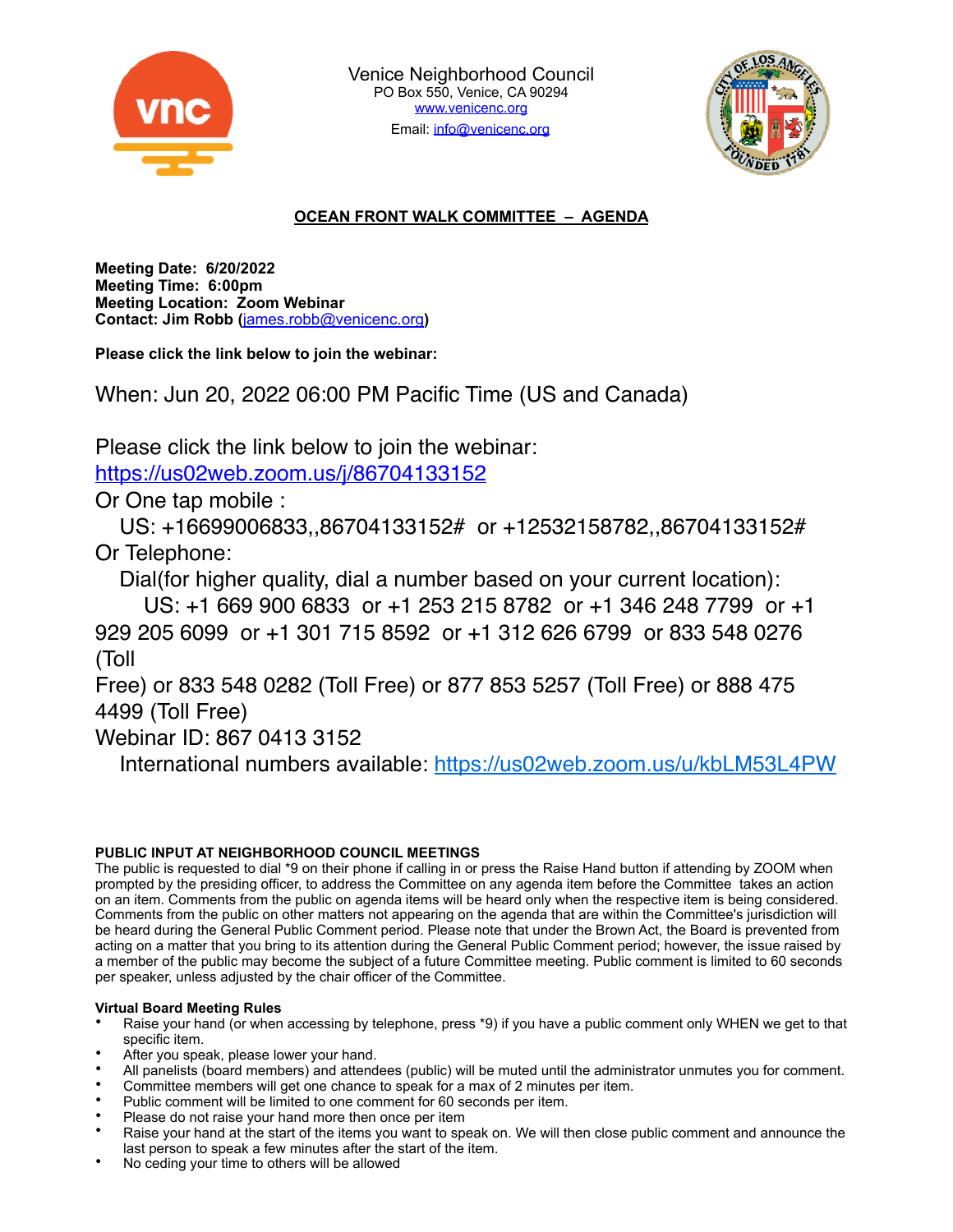



# **OCEAN FRONT WALK COMMITTEE – AGENDA**

**Meeting Date: 6/20/2022 Meeting Time: 6:00pm Meeting Location: Zoom Webinar Contact: Jim Robb (**[james.robb@venicenc.org](mailto:james.robb@venicenc.org)**)**

**Please click the link below to join the webinar:**

When: Jun 20, 2022 06:00 PM Pacific Time (US and Canada)

Please click the link below to join the webinar:

<https://us02web.zoom.us/j/86704133152>

Or One tap mobile :

 US: +16699006833,,86704133152# or +12532158782,,86704133152# Or Telephone:

Dial(for higher quality, dial a number based on your current location):

 US: +1 669 900 6833 or +1 253 215 8782 or +1 346 248 7799 or +1 929 205 6099 or +1 301 715 8592 or +1 312 626 6799 or 833 548 0276 (Toll

Free) or 833 548 0282 (Toll Free) or 877 853 5257 (Toll Free) or 888 475 4499 (Toll Free)

Webinar ID: 867 0413 3152

International numbers available:<https://us02web.zoom.us/u/kbLM53L4PW>

## **PUBLIC INPUT AT NEIGHBORHOOD COUNCIL MEETINGS**

The public is requested to dial \*9 on their phone if calling in or press the Raise Hand button if attending by ZOOM when prompted by the presiding officer, to address the Committee on any agenda item before the Committee takes an action on an item. Comments from the public on agenda items will be heard only when the respective item is being considered. Comments from the public on other matters not appearing on the agenda that are within the Committee's jurisdiction will be heard during the General Public Comment period. Please note that under the Brown Act, the Board is prevented from acting on a matter that you bring to its attention during the General Public Comment period; however, the issue raised by a member of the public may become the subject of a future Committee meeting. Public comment is limited to 60 seconds per speaker, unless adjusted by the chair officer of the Committee.

## **Virtual Board Meeting Rules**

- Raise your hand (or when accessing by telephone, press \*9) if you have a public comment only WHEN we get to that specific item.
- After you speak, please lower your hand.
- All panelists (board members) and attendees (public) will be muted until the administrator unmutes you for comment.
- Committee members will get one chance to speak for a max of 2 minutes per item.
- Public comment will be limited to one comment for 60 seconds per item.
- Please do not raise your hand more then once per item
- Raise your hand at the start of the items you want to speak on. We will then close public comment and announce the last person to speak a few minutes after the start of the item.
- No ceding your time to others will be allowed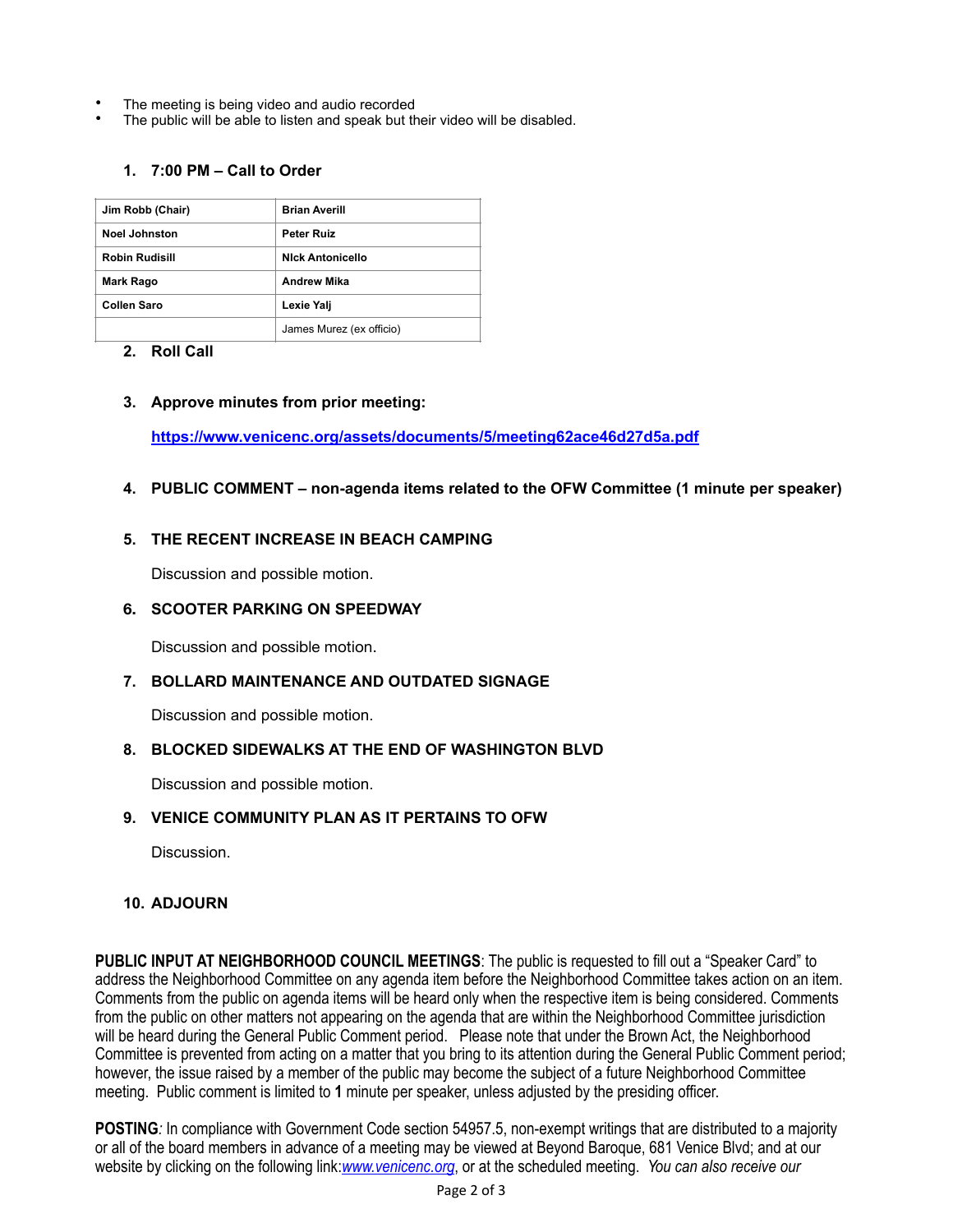- The meeting is being video and audio recorded
- The public will be able to listen and speak but their video will be disabled.

## **1. 7:00 PM – Call to Order**

| Jim Robb (Chair)      | <b>Brian Averill</b>     |
|-----------------------|--------------------------|
| <b>Noel Johnston</b>  | <b>Peter Ruiz</b>        |
| <b>Robin Rudisill</b> | <b>Nick Antonicello</b>  |
| <b>Mark Rago</b>      | <b>Andrew Mika</b>       |
| Collen Saro           | Lexie Yalj               |
|                       | James Murez (ex officio) |

#### **2. Roll Call**

#### **3. Approve [minutes](https://www.venicenc.org/ncfiles/viewCommitteeFile/25914) from prior meeting:**

**https://www.venicenc.org/assets/documents/5/meeting62ace46d27d5a.pdf**

**4. PUBLIC COMMENT – non-agenda items related to the OFW Committee (1 minute per speaker)**

#### **5. THE RECENT INCREASE IN BEACH CAMPING**

Discussion and possible motion.

#### **6. SCOOTER PARKING ON SPEEDWAY**

Discussion and possible motion.

## **7. BOLLARD MAINTENANCE AND OUTDATED SIGNAGE**

Discussion and possible motion.

## **8. BLOCKED SIDEWALKS AT THE END OF WASHINGTON BLVD**

Discussion and possible motion.

## **9. VENICE COMMUNITY PLAN AS IT PERTAINS TO OFW**

Discussion.

## **10. ADJOURN**

**PUBLIC INPUT AT NEIGHBORHOOD COUNCIL MEETINGS**: The public is requested to fill out a "Speaker Card" to address the Neighborhood Committee on any agenda item before the Neighborhood Committee takes action on an item. Comments from the public on agenda items will be heard only when the respective item is being considered. Comments from the public on other matters not appearing on the agenda that are within the Neighborhood Committee jurisdiction will be heard during the General Public Comment period. Please note that under the Brown Act, the Neighborhood Committee is prevented from acting on a matter that you bring to its attention during the General Public Comment period; however, the issue raised by a member of the public may become the subject of a future Neighborhood Committee meeting. Public comment is limited to **1** minute per speaker, unless adjusted by the presiding officer.

**POSTING***:* In compliance with Government Code section 54957.5, non-exempt writings that are distributed to a majority or all of the board members in advance of a meeting may be viewed at Beyond Baroque, 681 Venice Blvd; and at our website by clicking on the following link:*[www.venicenc.org](http://www.venicenc.org)*, or at the scheduled meeting. *You can also receive our*